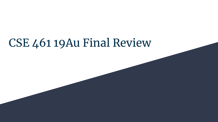# CSE 461 19Au Final Review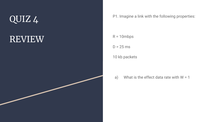# QUIZ 4

## REVIEW

P1. Imagine a link with the following properties:

 $R = 10mbps$  $D = 25$  ms

10 kb packets

a) What is the effect data rate with  $W = 1$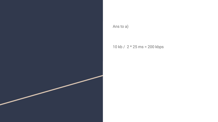

Ans to a)

10 kb / 2 \* 25 ms = 200 kbps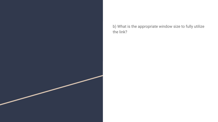

b) What is the appropriate window size to fully utilize the link?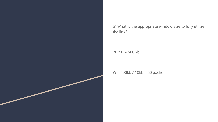

b) What is the appropriate window size to fully utilize the link?

 $2B * D = 500$  kb

W = 500kb / 10kb = 50 packets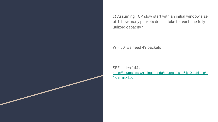c) Assuming TCP slow start with an initial window size of 1, how many packets does it take to reach the fully utilized capacity?

W = 50, we need 49 packets

SEE slides 144 at [https://courses.cs.washington.edu/courses/cse461/19au/slides/1](https://courses.cs.washington.edu/courses/cse461/19au/slides/11-transport.pdf) [1-transport.pdf](https://courses.cs.washington.edu/courses/cse461/19au/slides/11-transport.pdf)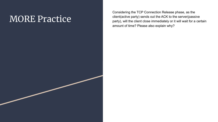### MORE Practice

Considering the TCP Connection Release phase, as the client(active party) sends out the ACK to the server(passive party), will the client close immediately or it will wait for a certain amount of time? Please also explain why?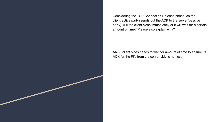Considering the TCP Connection Release phase, as the client(active party) sends out the ACK to the server(passive party), will the client close immediately or it will wait for a certain amount of time? Please also explain why?

ANS: client sides needs to wait for amount of time to ensure its ACK for the FIN from the server side is not lost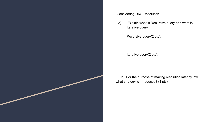

### Considering DNS Resolution

a) Explain what is Recursive query and what is Iterative query

Recursive query(2 pts):

Iterative query(2 pts):

 b) For the purpose of making resolution latency low, what strategy is introduced? (3 pts)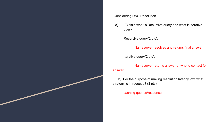

### Considering DNS Resolution

a) Explain what is Recursive query and what is Iterative query

Recursive query(2 pts):

Nameserver resolves and returns final answer

Iterative query(2 pts):

Nameserver returns answer or who to contact for answer

 b) For the purpose of making resolution latency low, what strategy is introduced? (3 pts)

caching queries/response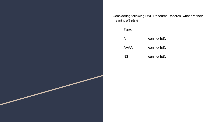Considering following DNS Resource Records, what are their meanings(3 pts)? Type:

| А    | meaning(1pt): |
|------|---------------|
| AAAA | meaning(1pt): |
| NS.  | meaning(1pt): |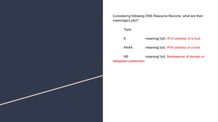Considering following DNS Resource Records, what are their meanings(3 pts)?

Type:

A meaning(1pt): IPv4 address of a host AAAA meaning(1pt): IPv6 address of a host NS meaning(1pt): Nameserver of domain or

delegated subdomain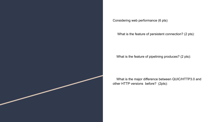

Considering web performance (6 pts)

What is the feature of persistent connection? (2 pts):

What is the feature of pipelining produces? (2 pts):

 What is the major difference between QUIC/HTTP3.0 and other HTTP versions before? (2pts):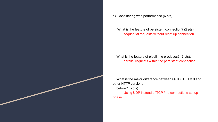

a): Considering web performance (6 pts)

 What is the feature of persistent connection? (2 pts): sequential requests without reset up connection

 What is the feature of pipelining produces? (2 pts): parallel requests within the persistent connection

 What is the major difference between QUIC/HTTP3.0 and other HTTP versions before? (2pts): Using UDP instead of TCP / no connections set up phase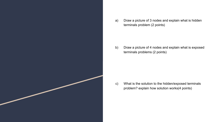

a) Draw a picture of 3 nodes and explain what is hidden terminals problem (2 points)

b) Draw a picture of 4 nodes and explain what is exposed terminals problems (2 points)

c) What is the solution to the hidden/exposed terminals problem? explain how solution works(4 points)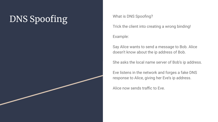Trick the client into creating a wrong binding!

Example:

Say Alice wants to send a message to Bob. Alice doesn't know about the ip address of Bob.

She asks the local name server of Bob's ip address.

Eve listens in the network and forges a fake DNS response to Alice, giving her Eve's ip address.

Alice now sends traffic to Eve.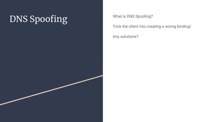Trick the client into creating a wrong binding!

Any solutions?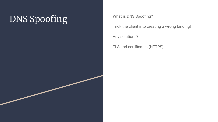Trick the client into creating a wrong binding!

Any solutions?

TLS and certificates (HTTPS)!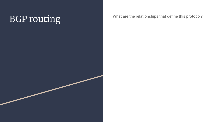# BGP routing What are the relationships that define this protocol?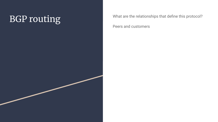# BGP routing What are the relationships that define this protocol?

Peers and customers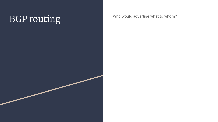# BGP routing Who would advertise what to whom?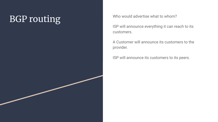# BGP routing Who would advertise what to whom?

ISP will announce everything it can reach to its customers.

A Customer will announce its customers to the provider.

ISP will announce its customers to its peers.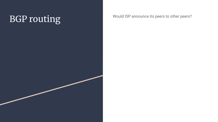# BGP routing Would ISP announce its peers to other peers?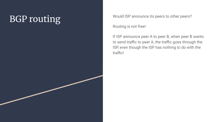# BGP routing Would ISP announce its peers to other peers?

Routing is not free!

If ISP announce peer A to peer B, when peer B wants to send traffic to peer A, the traffic goes through the ISP, even though the ISP has nothing to do with the traffic!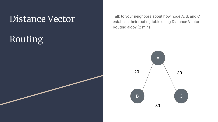

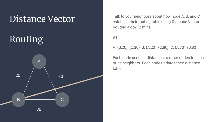

#1:

A: (B,20), (C,30); B: (A,20), (C,80); C: (A,30), (B,80);

Each node sends it distances to other nodes to each of its neighbors. Each node updates their distance table.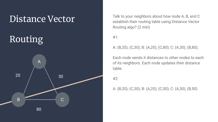

#1:

A: (B,20), (C,30); B: (A,20), (C,80); C: (A,30), (B,80);

Each node sends it distances to other nodes to each of its neighbors. Each node updates their distance table.

#2:

A: (B,20), (C,30); B: (A,20), (C,50); C: (A,30), (B,50)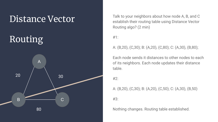

#1:

A: (B,20), (C,30); B: (A,20), (C,80); C: (A,30), (B,80);

Each node sends it distances to other nodes to each of its neighbors. Each node updates their distance table.

#2:

A: (B,20), (C,30); B: (A,20), (C,50); C: (A,30), (B,50)

#3:

Nothing changes. Routing table established.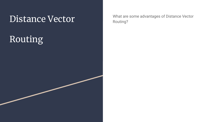### Distance Vector

# Routing

What are some advantages of Distance Vector Routing?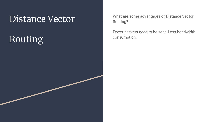### Distance Vector

# Routing

What are some advantages of Distance Vector Routing?

Fewer packets need to be sent. Less bandwidth consumption.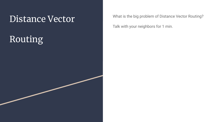### Distance Vector

# Routing

What is the big problem of Distance Vector Routing?

Talk with your neighbors for 1 min.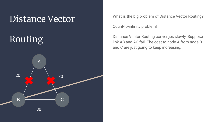

What is the big problem of Distance Vector Routing?

Count-to-infinity problem!

Distance Vector Routing converges slowly. Suppose link AB and AC fail. The cost to node A from node B and C are just going to keep increasing.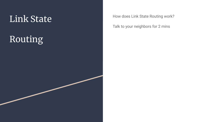## Link State

# Routing

How does Link State Routing work?

Talk to your neighbors for 2 mins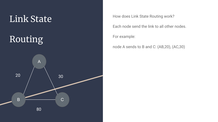

How does Link State Routing work?

Each node send the link to all other nodes.

For example:

node A sends to B and C: (AB,20), (AC,30)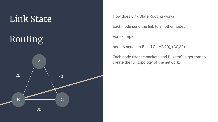

How does Link State Routing work?

Each node send the link to all other nodes.

For example:

node A sends to B and C: (AB,20), (AC,30)

Each node use the packets and Dijkstra's algorithm to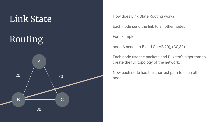

How does Link State Routing work?

Each node send the link to all other nodes.

For example:

node A sends to B and C: (AB,20), (AC,30)

Each node use the packets and Dijkstra's algorithm to create the full topology of the network.

Now each node has the shortest path to each other node.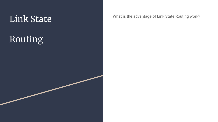# Routing

 $\textbf{Link State}$  What is the advantage of Link State Routing work?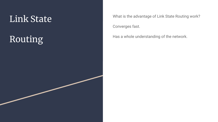## Link State

# Routing

What is the advantage of Link State Routing work?

Converges fast.

Has a whole understanding of the network.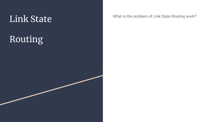# Routing

 $\textbf{Link State}$  What is the problem of Link State Routing work?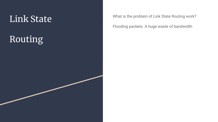## Link State

# Routing

What is the problem of Link State Routing work?

Flooding packets. A huge waste of bandwidth.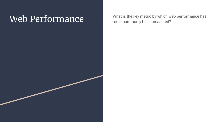$Web\,$  Performance  $Wee$  What is the key metric by which web performance has most commonly been measured?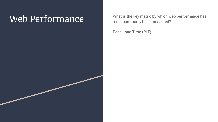$Web\,$  Performance  $Wee$  What is the key metric by which web performance has most commonly been measured?

Page Load Time (PLT)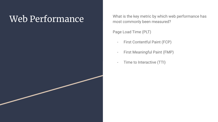Web Performance What is the key metric by which web performance has most commonly been measured?

Page Load Time (PLT)

- First Contentful Paint (FCP)
- First Meaningful Paint (FMP)
- Time to Interactive (TTI)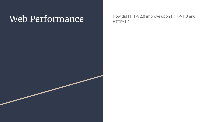Web Performance How did HTTP/2.0 improve upon HTTP/1.0 and HTTP/1.1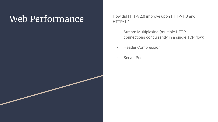Web Performance How did HTTP/2.0 improve upon HTTP/1.0 and HTTP/1.1

- Stream Multiplexing (multiple HTTP connections concurrently in a single TCP flow)
- Header Compression
- Server Push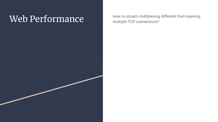Web Performance How is stream multiplexing different from opening multiple TCP connections?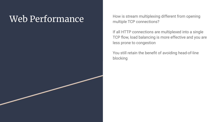Web Performance<br>
How is stream multiplexing different from opening multiple TCP connections?

> If all HTTP connections are multiplexed into a single TCP flow, load balancing is more effective and you are less prone to congestion

You still retain the benefit of avoiding head-of-line blocking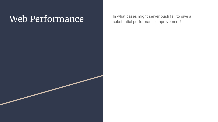$\overline{\text{Web}}\text{ Performance}^{\text{In what cases might server push fail to give a}$ substantial performance improvement?